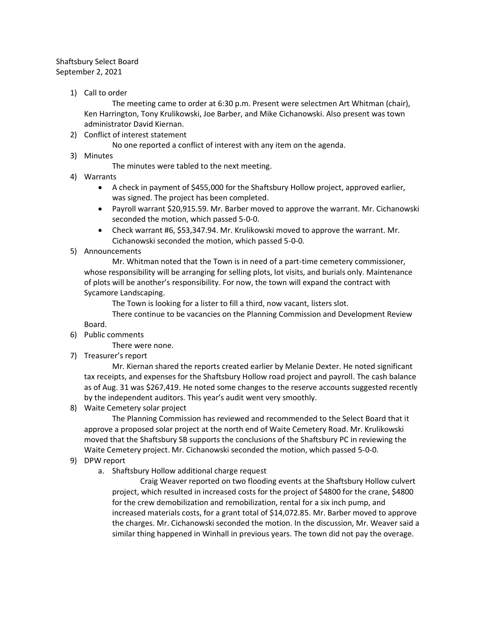## Shaftsbury Select Board September 2, 2021

1) Call to order

The meeting came to order at 6:30 p.m. Present were selectmen Art Whitman (chair), Ken Harrington, Tony Krulikowski, Joe Barber, and Mike Cichanowski. Also present was town administrator David Kiernan.

2) Conflict of interest statement

No one reported a conflict of interest with any item on the agenda.

3) Minutes

The minutes were tabled to the next meeting.

- 4) Warrants
	- A check in payment of \$455,000 for the Shaftsbury Hollow project, approved earlier, was signed. The project has been completed.
	- Payroll warrant \$20,915.59. Mr. Barber moved to approve the warrant. Mr. Cichanowski seconded the motion, which passed 5-0-0.
	- Check warrant #6, \$53,347.94. Mr. Krulikowski moved to approve the warrant. Mr. Cichanowski seconded the motion, which passed 5-0-0.
- 5) Announcements

Mr. Whitman noted that the Town is in need of a part-time cemetery commissioner, whose responsibility will be arranging for selling plots, lot visits, and burials only. Maintenance of plots will be another's responsibility. For now, the town will expand the contract with Sycamore Landscaping.

The Town is looking for a lister to fill a third, now vacant, listers slot.

There continue to be vacancies on the Planning Commission and Development Review Board.

6) Public comments

There were none.

7) Treasurer's report

Mr. Kiernan shared the reports created earlier by Melanie Dexter. He noted significant tax receipts, and expenses for the Shaftsbury Hollow road project and payroll. The cash balance as of Aug. 31 was \$267,419. He noted some changes to the reserve accounts suggested recently by the independent auditors. This year's audit went very smoothly.

8) Waite Cemetery solar project

The Planning Commission has reviewed and recommended to the Select Board that it approve a proposed solar project at the north end of Waite Cemetery Road. Mr. Krulikowski moved that the Shaftsbury SB supports the conclusions of the Shaftsbury PC in reviewing the Waite Cemetery project. Mr. Cichanowski seconded the motion, which passed 5-0-0.

- 9) DPW report
	- a. Shaftsbury Hollow additional charge request

Craig Weaver reported on two flooding events at the Shaftsbury Hollow culvert project, which resulted in increased costs for the project of \$4800 for the crane, \$4800 for the crew demobilization and remobilization, rental for a six inch pump, and increased materials costs, for a grant total of \$14,072.85. Mr. Barber moved to approve the charges. Mr. Cichanowski seconded the motion. In the discussion, Mr. Weaver said a similar thing happened in Winhall in previous years. The town did not pay the overage.